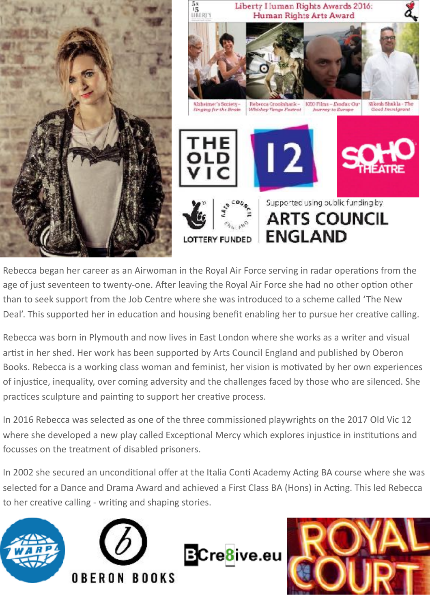

Rebecca began her career as an Airwoman in the Royal Air Force serving in radar operations from the age of just seventeen to twenty-one. After leaving the Royal Air Force she had no other option other than to seek support from the Job Centre where she was introduced to a scheme called 'The New Deal'. This supported her in education and housing benefit enabling her to pursue her creative calling.

Rebecca was born in Plymouth and now lives in East London where she works as a writer and visual artist in her shed. Her work has been supported by Arts Council England and published by Oberon Books. Rebecca is a working class woman and feminist, her vision is motivated by her own experiences of injustice, inequality, over coming adversity and the challenges faced by those who are silenced. She practices sculpture and painting to support her creative process.

In 2016 Rebecca was selected as one of the three commissioned playwrights on the 2017 Old Vic 12 where she developed a new play called Exceptional Mercy which explores injustice in institutions and focusses on the treatment of disabled prisoners.

In 2002 she secured an unconditional offer at the Italia Conti Academy Acting BA course where she was selected for a Dance and Drama Award and achieved a First Class BA (Hons) in Acting. This led Rebecca to her creative calling - writing and shaping stories.



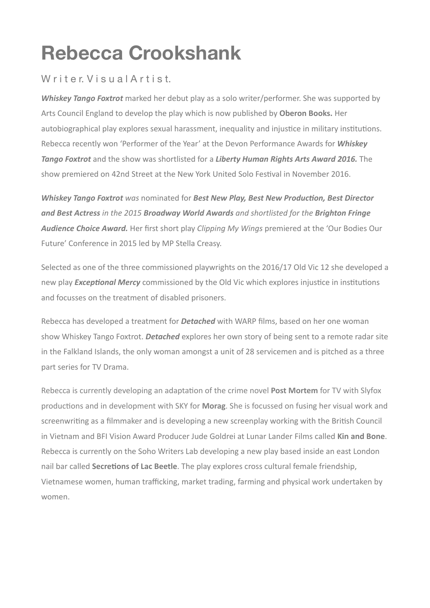# **Rebecca Crookshank**

## Writer Visual Artist.

**Whiskey Tango Foxtrot** marked her debut play as a solo writer/performer. She was supported by Arts Council England to develop the play which is now published by Oberon Books. Her autobiographical play explores sexual harassment, inequality and injustice in military institutions. Rebecca recently won 'Performer of the Year' at the Devon Performance Awards for *Whiskey* **Tango Foxtrot** and the show was shortlisted for a *Liberty Human Rights Arts Award 2016.* The show premiered on 42nd Street at the New York United Solo Festival in November 2016.

*Whiskey Tango Foxtrot was nominated for Best New Play, Best New Production, Best Director* **and Best Actress** in the 2015 **Broadway World Awards** and shortlisted for the **Brighton Fringe Audience Choice Award.** Her first short play *Clipping My Wings* premiered at the 'Our Bodies Our Future' Conference in 2015 led by MP Stella Creasy.

Selected as one of the three commissioned playwrights on the 2016/17 Old Vic 12 she developed a new play *Exceptional Mercy* commissioned by the Old Vic which explores injustice in institutions and focusses on the treatment of disabled prisoners.

Rebecca has developed a treatment for **Detached** with WARP films, based on her one woman show Whiskey Tango Foxtrot. **Detached** explores her own story of being sent to a remote radar site in the Falkland Islands, the only woman amongst a unit of 28 servicemen and is pitched as a three part series for TV Drama.

Rebecca is currently developing an adaptation of the crime novel **Post Mortem** for TV with Slyfox productions and in development with SKY for **Morag**. She is focussed on fusing her visual work and screenwriting as a filmmaker and is developing a new screenplay working with the British Council in Vietnam and BFI Vision Award Producer Jude Goldrei at Lunar Lander Films called **Kin and Bone**. Rebecca is currently on the Soho Writers Lab developing a new play based inside an east London nail bar called **Secretions of Lac Beetle**. The play explores cross cultural female friendship, Vietnamese women, human trafficking, market trading, farming and physical work undertaken by women.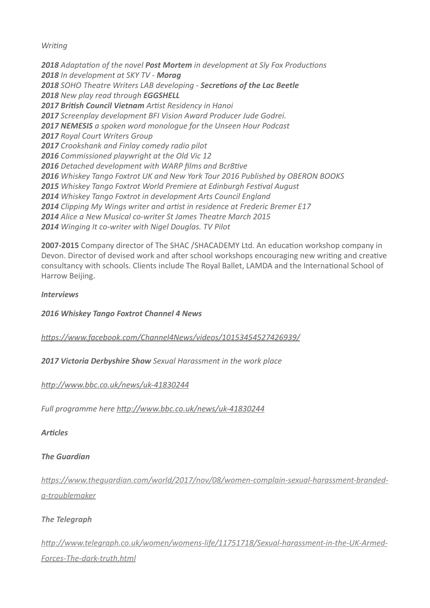*Writing* 

 Adaptation of the novel **Post Mortem** in development at Sly Fox Productions *In development at SKY TV - Morag* 2018 SOHO Theatre Writers LAB developing - Secretions of the Lac Beetle New play read through **EGGSHELL 2017 British Council Vietnam** Artist Residency in Hanoi Screenplay development BFI Vision Award Producer Jude Godrei. **2017 NEMESIS** a spoken word monologue for the Unseen Hour Podcast *Royal Court Writers Group Crookshank and Finlay comedy radio pilot* Commissioned playwright at the Old Vic 12 Detached development with WARP films and Bcr8tive *Whiskey Tango Foxtrot UK and New York Tour 2016 Published by OBERON BOOKS* Whiskey Tango Foxtrot World Premiere at Edinburgh Festival August Whiskey Tango Foxtrot in development Arts Council England *Clipping My Wings writer and artist in residence at Frederic Bremer E17 Alice a New Musical co-writer St James Theatre March 2015* Winging It co-writer with Nigel Douglas. TV Pilot

**2007-2015** Company director of The SHAC /SHACADEMY Ltd. An education workshop company in Devon. Director of devised work and after school workshops encouraging new writing and creative consultancy with schools. Clients include The Royal Ballet, LAMDA and the International School of Harrow Beijing. 

#### *Interviews*

*2016 Whiskey Tango Foxtrot Channel 4 News* 

#### *[h\[ps://www.facebook.com/Channel4News/videos/10153454527426939/](https://www.facebook.com/Channel4News/videos/10153454527426939/)*

**2017 Victoria Derbyshire Show** Sexual Harassment in the work place

*[h\[p://www.bbc.co.uk/news/uk-41830244](http://www.bbc.co.uk/news/uk-41830244)*

*Full programme here [h\[p://www.bbc.co.uk/news/uk-41830244](http://www.bbc.co.uk/news/uk-41830244)*

*ArFcles*

#### **The Guardian**

https://www.theguardian.com/world/2017/nov/08/women-complain-sexual-harassment-branded*[a-troublemaker](https://www.theguardian.com/world/2017/nov/08/women-complain-sexual-harassment-branded-a-troublemaker)*

#### **The Telearaph**

http://www.telegraph.co.uk/women/womens-life/11751718/Sexual-harassment-in-the-UK-Armed-*[Forces-The-dark-truth.html](http://www.telegraph.co.uk/women/womens-life/11751718/Sexual-harassment-in-the-UK-Armed-Forces-The-dark-truth.html)*